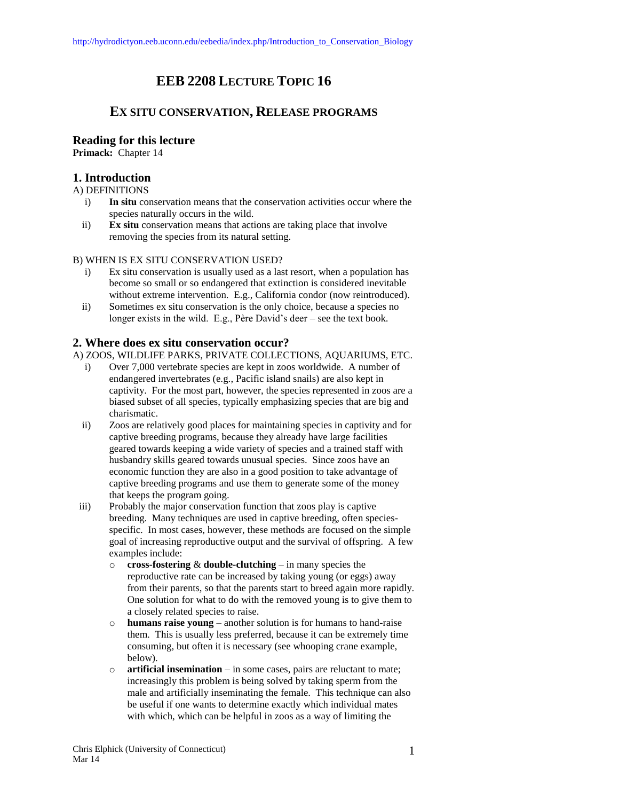# **EEB 2208 LECTURE TOPIC 16**

## **EX SITU CONSERVATION, RELEASE PROGRAMS**

## **Reading for this lecture**

**Primack:** Chapter 14

## **1. Introduction**

A) DEFINITIONS

- i) **In situ** conservation means that the conservation activities occur where the species naturally occurs in the wild.
- ii) **Ex situ** conservation means that actions are taking place that involve removing the species from its natural setting.

#### B) WHEN IS EX SITU CONSERVATION USED?

- i) Ex situ conservation is usually used as a last resort, when a population has become so small or so endangered that extinction is considered inevitable without extreme intervention. E.g., California condor (now reintroduced).
- ii) Sometimes ex situ conservation is the only choice, because a species no longer exists in the wild. E.g., Père David's deer – see the text book.

## **2. Where does ex situ conservation occur?**

A) ZOOS, WILDLIFE PARKS, PRIVATE COLLECTIONS, AQUARIUMS, ETC.

- i) Over 7,000 vertebrate species are kept in zoos worldwide. A number of endangered invertebrates (e.g., Pacific island snails) are also kept in captivity. For the most part, however, the species represented in zoos are a biased subset of all species, typically emphasizing species that are big and charismatic.
- ii) Zoos are relatively good places for maintaining species in captivity and for captive breeding programs, because they already have large facilities geared towards keeping a wide variety of species and a trained staff with husbandry skills geared towards unusual species. Since zoos have an economic function they are also in a good position to take advantage of captive breeding programs and use them to generate some of the money that keeps the program going.
- iii) Probably the major conservation function that zoos play is captive breeding. Many techniques are used in captive breeding, often speciesspecific. In most cases, however, these methods are focused on the simple goal of increasing reproductive output and the survival of offspring. A few examples include:
	- o **cross-fostering** & **double-clutching** in many species the reproductive rate can be increased by taking young (or eggs) away from their parents, so that the parents start to breed again more rapidly. One solution for what to do with the removed young is to give them to a closely related species to raise.
	- o **humans raise young**  another solution is for humans to hand-raise them. This is usually less preferred, because it can be extremely time consuming, but often it is necessary (see whooping crane example, below).
	- o **artificial insemination**  in some cases, pairs are reluctant to mate; increasingly this problem is being solved by taking sperm from the male and artificially inseminating the female. This technique can also be useful if one wants to determine exactly which individual mates with which, which can be helpful in zoos as a way of limiting the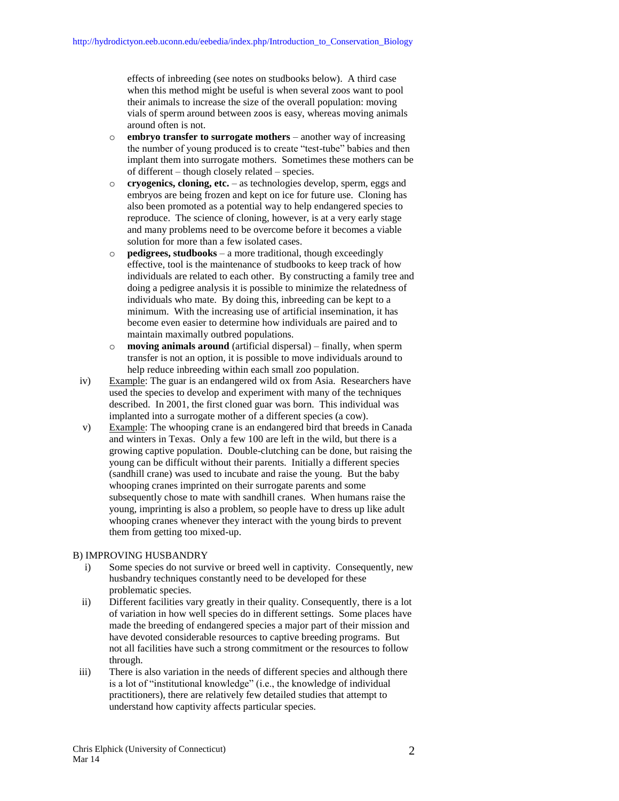effects of inbreeding (see notes on studbooks below). A third case when this method might be useful is when several zoos want to pool their animals to increase the size of the overall population: moving vials of sperm around between zoos is easy, whereas moving animals around often is not.

- o **embryo transfer to surrogate mothers**  another way of increasing the number of young produced is to create "test-tube" babies and then implant them into surrogate mothers. Sometimes these mothers can be of different – though closely related – species.
- o **cryogenics, cloning, etc.** as technologies develop, sperm, eggs and embryos are being frozen and kept on ice for future use. Cloning has also been promoted as a potential way to help endangered species to reproduce. The science of cloning, however, is at a very early stage and many problems need to be overcome before it becomes a viable solution for more than a few isolated cases.
- o **pedigrees, studbooks** a more traditional, though exceedingly effective, tool is the maintenance of studbooks to keep track of how individuals are related to each other. By constructing a family tree and doing a pedigree analysis it is possible to minimize the relatedness of individuals who mate. By doing this, inbreeding can be kept to a minimum. With the increasing use of artificial insemination, it has become even easier to determine how individuals are paired and to maintain maximally outbred populations.
- **moving animals around** (artificial dispersal) finally, when sperm transfer is not an option, it is possible to move individuals around to help reduce inbreeding within each small zoo population.
- iv) Example: The guar is an endangered wild ox from Asia. Researchers have used the species to develop and experiment with many of the techniques described. In 2001, the first cloned guar was born. This individual was implanted into a surrogate mother of a different species (a cow).
- v) Example: The whooping crane is an endangered bird that breeds in Canada and winters in Texas. Only a few 100 are left in the wild, but there is a growing captive population. Double-clutching can be done, but raising the young can be difficult without their parents. Initially a different species (sandhill crane) was used to incubate and raise the young. But the baby whooping cranes imprinted on their surrogate parents and some subsequently chose to mate with sandhill cranes. When humans raise the young, imprinting is also a problem, so people have to dress up like adult whooping cranes whenever they interact with the young birds to prevent them from getting too mixed-up.

#### B) IMPROVING HUSBANDRY

- i) Some species do not survive or breed well in captivity. Consequently, new husbandry techniques constantly need to be developed for these problematic species.
- ii) Different facilities vary greatly in their quality. Consequently, there is a lot of variation in how well species do in different settings. Some places have made the breeding of endangered species a major part of their mission and have devoted considerable resources to captive breeding programs. But not all facilities have such a strong commitment or the resources to follow through.
- iii) There is also variation in the needs of different species and although there is a lot of "institutional knowledge" (i.e., the knowledge of individual practitioners), there are relatively few detailed studies that attempt to understand how captivity affects particular species.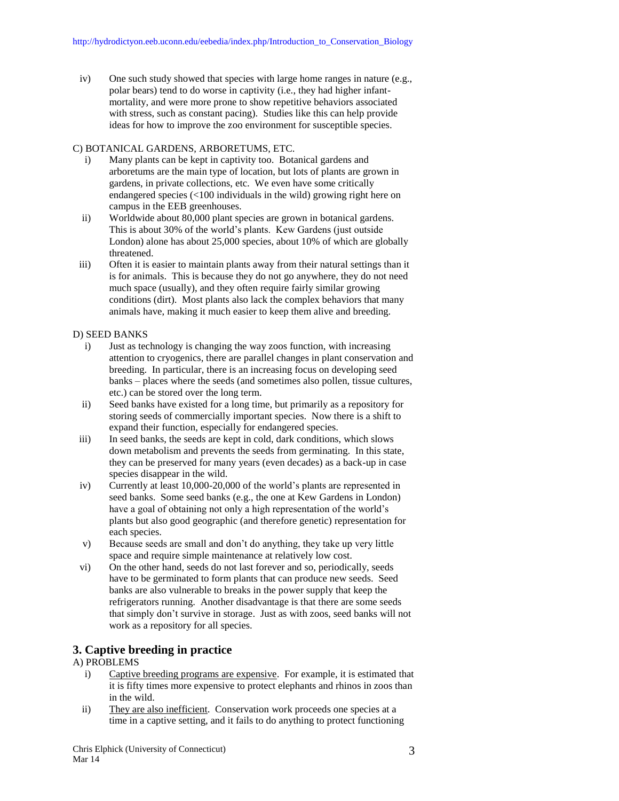iv) One such study showed that species with large home ranges in nature (e.g., polar bears) tend to do worse in captivity (i.e., they had higher infantmortality, and were more prone to show repetitive behaviors associated with stress, such as constant pacing). Studies like this can help provide ideas for how to improve the zoo environment for susceptible species.

#### C) BOTANICAL GARDENS, ARBORETUMS, ETC.

- i) Many plants can be kept in captivity too. Botanical gardens and arboretums are the main type of location, but lots of plants are grown in gardens, in private collections, etc. We even have some critically endangered species (<100 individuals in the wild) growing right here on campus in the EEB greenhouses.
- ii) Worldwide about 80,000 plant species are grown in botanical gardens. This is about 30% of the world's plants. Kew Gardens (just outside London) alone has about 25,000 species, about 10% of which are globally threatened.
- iii) Often it is easier to maintain plants away from their natural settings than it is for animals. This is because they do not go anywhere, they do not need much space (usually), and they often require fairly similar growing conditions (dirt). Most plants also lack the complex behaviors that many animals have, making it much easier to keep them alive and breeding.

#### D) SEED BANKS

- i) Just as technology is changing the way zoos function, with increasing attention to cryogenics, there are parallel changes in plant conservation and breeding. In particular, there is an increasing focus on developing seed banks – places where the seeds (and sometimes also pollen, tissue cultures, etc.) can be stored over the long term.
- ii) Seed banks have existed for a long time, but primarily as a repository for storing seeds of commercially important species. Now there is a shift to expand their function, especially for endangered species.
- iii) In seed banks, the seeds are kept in cold, dark conditions, which slows down metabolism and prevents the seeds from germinating. In this state, they can be preserved for many years (even decades) as a back-up in case species disappear in the wild.
- iv) Currently at least 10,000-20,000 of the world's plants are represented in seed banks. Some seed banks (e.g., the one at Kew Gardens in London) have a goal of obtaining not only a high representation of the world's plants but also good geographic (and therefore genetic) representation for each species.
- v) Because seeds are small and don't do anything, they take up very little space and require simple maintenance at relatively low cost.
- vi) On the other hand, seeds do not last forever and so, periodically, seeds have to be germinated to form plants that can produce new seeds. Seed banks are also vulnerable to breaks in the power supply that keep the refrigerators running. Another disadvantage is that there are some seeds that simply don't survive in storage. Just as with zoos, seed banks will not work as a repository for all species.

## **3. Captive breeding in practice**

#### A) PROBLEMS

- i) Captive breeding programs are expensive. For example, it is estimated that it is fifty times more expensive to protect elephants and rhinos in zoos than in the wild.
- ii) They are also inefficient. Conservation work proceeds one species at a time in a captive setting, and it fails to do anything to protect functioning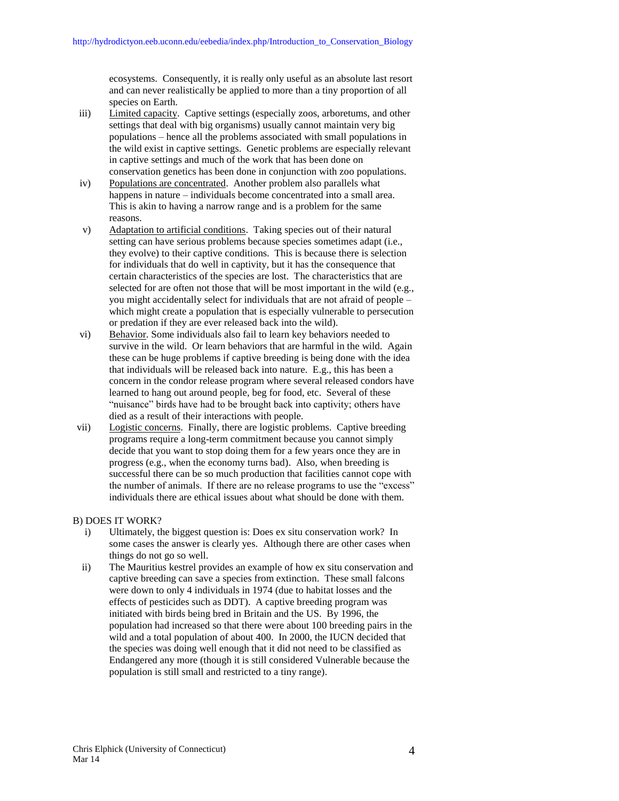ecosystems. Consequently, it is really only useful as an absolute last resort and can never realistically be applied to more than a tiny proportion of all species on Earth.

- iii) Limited capacity. Captive settings (especially zoos, arboretums, and other settings that deal with big organisms) usually cannot maintain very big populations – hence all the problems associated with small populations in the wild exist in captive settings. Genetic problems are especially relevant in captive settings and much of the work that has been done on conservation genetics has been done in conjunction with zoo populations.
- iv) Populations are concentrated. Another problem also parallels what happens in nature – individuals become concentrated into a small area. This is akin to having a narrow range and is a problem for the same reasons.
- v) Adaptation to artificial conditions. Taking species out of their natural setting can have serious problems because species sometimes adapt (i.e., they evolve) to their captive conditions. This is because there is selection for individuals that do well in captivity, but it has the consequence that certain characteristics of the species are lost. The characteristics that are selected for are often not those that will be most important in the wild (e.g., you might accidentally select for individuals that are not afraid of people – which might create a population that is especially vulnerable to persecution or predation if they are ever released back into the wild).
- vi) Behavior. Some individuals also fail to learn key behaviors needed to survive in the wild. Or learn behaviors that are harmful in the wild. Again these can be huge problems if captive breeding is being done with the idea that individuals will be released back into nature. E.g., this has been a concern in the condor release program where several released condors have learned to hang out around people, beg for food, etc. Several of these "nuisance" birds have had to be brought back into captivity; others have died as a result of their interactions with people.
- vii) Logistic concerns. Finally, there are logistic problems. Captive breeding programs require a long-term commitment because you cannot simply decide that you want to stop doing them for a few years once they are in progress (e.g., when the economy turns bad). Also, when breeding is successful there can be so much production that facilities cannot cope with the number of animals. If there are no release programs to use the "excess" individuals there are ethical issues about what should be done with them.

#### B) DOES IT WORK?

- i) Ultimately, the biggest question is: Does ex situ conservation work? In some cases the answer is clearly yes. Although there are other cases when things do not go so well.
- ii) The Mauritius kestrel provides an example of how ex situ conservation and captive breeding can save a species from extinction. These small falcons were down to only 4 individuals in 1974 (due to habitat losses and the effects of pesticides such as DDT). A captive breeding program was initiated with birds being bred in Britain and the US. By 1996, the population had increased so that there were about 100 breeding pairs in the wild and a total population of about 400. In 2000, the IUCN decided that the species was doing well enough that it did not need to be classified as Endangered any more (though it is still considered Vulnerable because the population is still small and restricted to a tiny range).